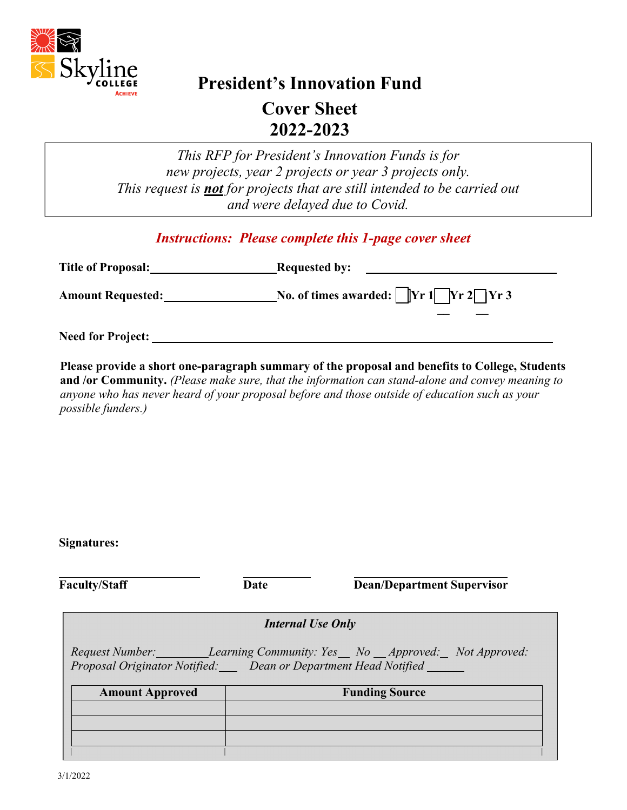

# **President's Innovation Fund**

**Cover Sheet 2022-2023** 

*This RFP for President's Innovation Funds is for new projects, year 2 projects or year 3 projects only. This request is not for projects that are still intended to be carried out and were delayed due to Covid.* 

## *Instructions: Please complete this 1-page cover sheet*

| <b>Title of Proposal:</b> | <b>Requested by:</b>                                                          |
|---------------------------|-------------------------------------------------------------------------------|
| <b>Amount Requested:</b>  | No. of times awarded: $\Vert \text{Yr 1} \Vert \text{Yr 2} \Vert \text{Yr 3}$ |
| <b>Need for Project:</b>  |                                                                               |

**Please provide a short one-paragraph summary of the proposal and benefits to College, Students and /or Community.** *(Please make sure, that the information can stand-alone and convey meaning to anyone who has never heard of your proposal before and those outside of education such as your possible funders.)* 

**Signatures:** 

**Faculty/Staff Date Dean/Department Supervisor**

| <b>Internal Use Only</b>                                                                                                                    |  |  |  |  |
|---------------------------------------------------------------------------------------------------------------------------------------------|--|--|--|--|
| Request Number: <i>Learning Community: Yes</i> No Approved: Not Approved:<br>Proposal Originator Notified: Dean or Department Head Notified |  |  |  |  |
| <b>Funding Source</b><br><b>Amount Approved</b>                                                                                             |  |  |  |  |
|                                                                                                                                             |  |  |  |  |
|                                                                                                                                             |  |  |  |  |
|                                                                                                                                             |  |  |  |  |
|                                                                                                                                             |  |  |  |  |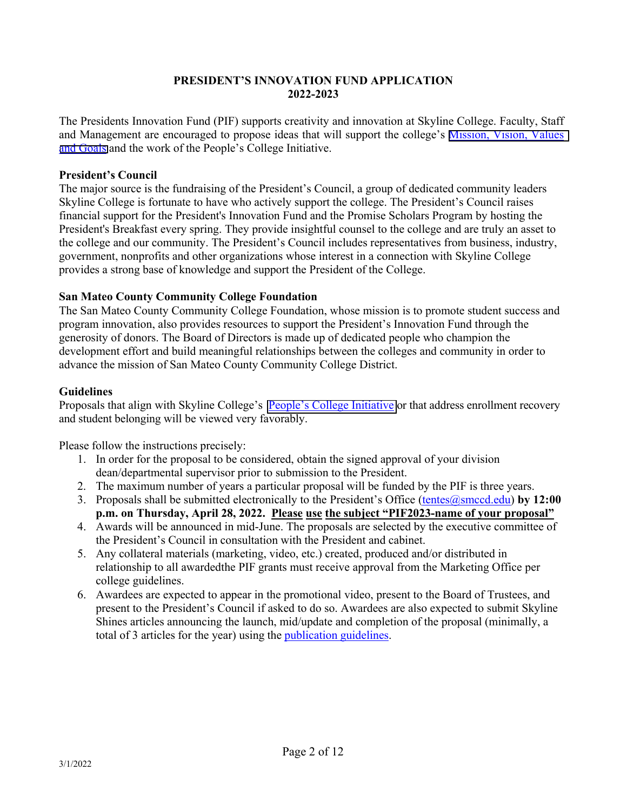#### **PRESIDENT'S INNOVATION FUND APPLICATION 2022-2023**

The Presidents Innovation Fund (PIF) supports creativity and innovation at Skyline College. Faculty, Staff and Management are encouraged to propose ideas that will support the college's [Mission, Vision, Values](https://www.skylinecollege.edu/aboutskyline/mission.php)  [and Goals](https://www.skylinecollege.edu/aboutskyline/mission.php) and the work of the People's College Initiative.

#### **President's Council**

The major source is the fundraising of the President's Council, a group of dedicated community leaders Skyline College is fortunate to have who actively support the college. The President's Council raises financial support for the President's Innovation Fund and the Promise Scholars Program by hosting the President's Breakfast every spring. They provide insightful counsel to the college and are truly an asset to the college and our community. The President's Council includes representatives from business, industry, government, nonprofits and other organizations whose interest in a connection with Skyline College provides a strong base of knowledge and support the President of the College.

#### **San Mateo County Community College Foundation**

The San Mateo County Community College Foundation, whose mission is to promote student success and program innovation, also provides resources to support the President's Innovation Fund through the generosity of donors. The Board of Directors is made up of dedicated people who champion the development effort and build meaningful relationships between the colleges and community in order to advance the mission of San Mateo County Community College District.

#### **Guidelines**

Proposals that align with Skyline College's [People's College Initiative](https://www.skylinecollege.edu/pci/index.php) or that address enrollment recovery and student belonging will be viewed very favorably.

Please follow the instructions precisely:

- 1. In order for the proposal to be considered, obtain the signed approval of your division dean/departmental supervisor prior to submission to the President.
- 2. The maximum number of years a particular proposal will be funded by the PIF is three years.
- 3. Proposals shall be submitted electronically to the President's Office (tentes@smccd.edu) **by 12:00 p.m. on Thursday, April 28, 2022. Please use the subject "PIF2023-name of your proposal"**
- 4. Awards will be announced in mid-June. The proposals are selected by the executive committee of the President's Council in consultation with the President and cabinet.
- 5. Any collateral materials (marketing, video, etc.) created, produced and/or distributed in relationship to all awarded the PIF grants must receive approval from the Marketing Office per college guidelines.
- 6. Awardees are expected to appear in the promotional video, present to the Board of Trustees, and present to the President's Council if asked to do so. Awardees are also expected to submit Skyline Shines articles announcing the launch, mid/update and completion of the proposal (minimally, a total of 3 articles for the year) using the *publication guidelines*.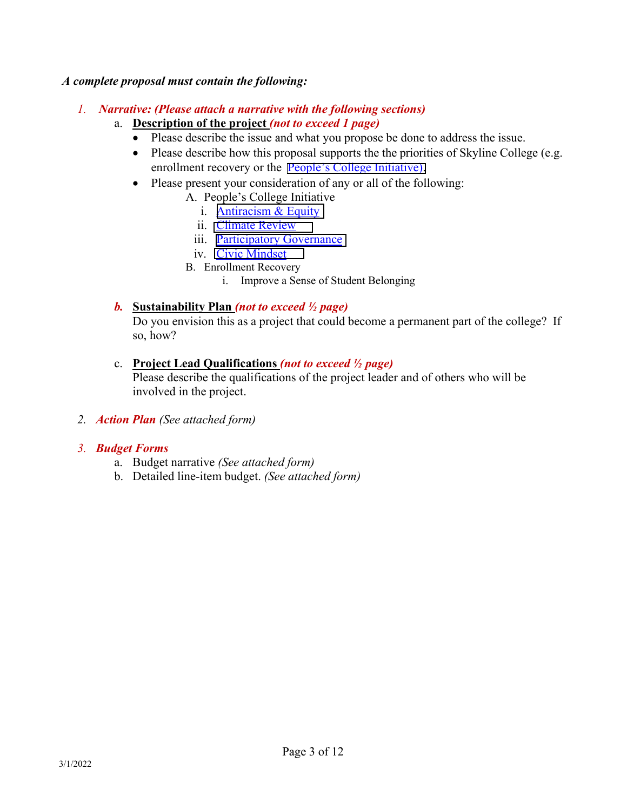#### *A complete proposal must contain the following:*

- *1. Narrative: (Please attach a narrative with the following sections)*
	- a. **Description of the project** *(not to exceed 1 page)*
		- Please describe the issue and what you propose be done to address the issue.
		- Please describe how this proposal supports the the priorities of Skyline College (e.g. enrollment recovery or the **People's College Initiative**).
		- Please present your consideration of any or all of the following:
			- A. People's College Initiative
				- i. [Antiracism & Equity](https://www.skylinecollege.edu/pci/antiracism-equity.php)
				- ii. [Climate Review](https://www.skylinecollege.edu/pci/climatereview.php)
				- iii. [Participatory Governance](https://www.skylinecollege.edu/pci/participatorygov.php)
				- iv. [Civic Mindset](https://www.skylinecollege.edu/pci/civicmindset.php)
				- B. Enrollment Recovery
					- i. Improve a Sense of Student Belonging

## *b.* **Sustainability Plan** *(not to exceed ½ page)*

Do you envision this as a project that could become a permanent part of the college? If so, how?

## c. **Project Lead Qualifications** *(not to exceed ½ page)*

Please describe the qualifications of the project leader and of others who will be involved in the project.

*2. Action Plan (See attached form)*

## *3. Budget Forms*

- a. Budget narrative *(See attached form)*
- b. Detailed line-item budget. *(See attached form)*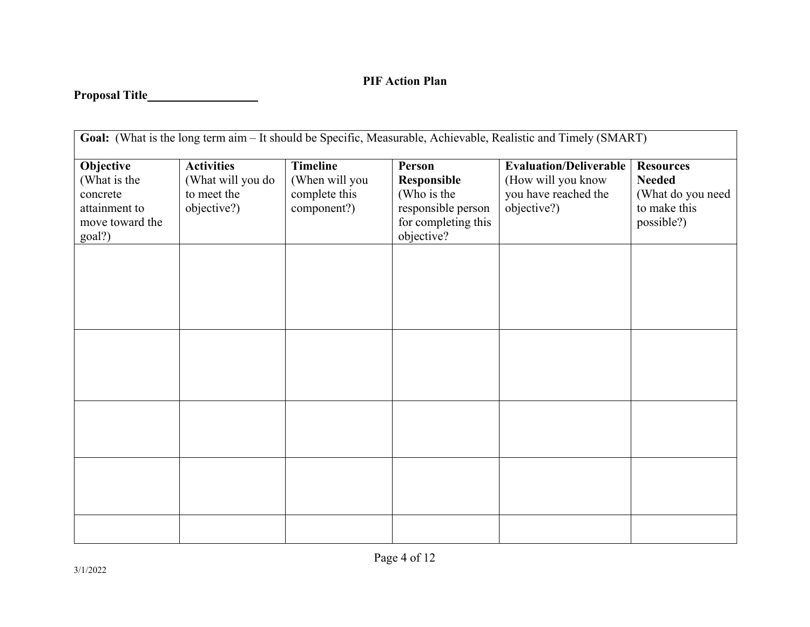## **PIF Action Plan**

## **Proposal Title**

| Goal: (What is the long term aim - It should be Specific, Measurable, Achievable, Realistic and Timely (SMART) |                   |                 |                     |                               |                   |
|----------------------------------------------------------------------------------------------------------------|-------------------|-----------------|---------------------|-------------------------------|-------------------|
| Objective                                                                                                      | <b>Activities</b> | <b>Timeline</b> | Person              | <b>Evaluation/Deliverable</b> | <b>Resources</b>  |
| (What is the                                                                                                   | (What will you do | (When will you  | Responsible         | (How will you know            | <b>Needed</b>     |
| concrete                                                                                                       | to meet the       | complete this   | (Who is the         | you have reached the          | (What do you need |
| attainment to                                                                                                  | objective?)       | component?)     | responsible person  | objective?)                   | to make this      |
| move toward the                                                                                                |                   |                 | for completing this |                               | possible?)        |
| goal?)                                                                                                         |                   |                 | objective?          |                               |                   |
|                                                                                                                |                   |                 |                     |                               |                   |
|                                                                                                                |                   |                 |                     |                               |                   |
|                                                                                                                |                   |                 |                     |                               |                   |
|                                                                                                                |                   |                 |                     |                               |                   |
|                                                                                                                |                   |                 |                     |                               |                   |
|                                                                                                                |                   |                 |                     |                               |                   |
|                                                                                                                |                   |                 |                     |                               |                   |
|                                                                                                                |                   |                 |                     |                               |                   |
|                                                                                                                |                   |                 |                     |                               |                   |
|                                                                                                                |                   |                 |                     |                               |                   |
|                                                                                                                |                   |                 |                     |                               |                   |
|                                                                                                                |                   |                 |                     |                               |                   |
|                                                                                                                |                   |                 |                     |                               |                   |
|                                                                                                                |                   |                 |                     |                               |                   |
|                                                                                                                |                   |                 |                     |                               |                   |
|                                                                                                                |                   |                 |                     |                               |                   |
|                                                                                                                |                   |                 |                     |                               |                   |
|                                                                                                                |                   |                 |                     |                               |                   |
|                                                                                                                |                   |                 |                     |                               |                   |
|                                                                                                                |                   |                 |                     |                               |                   |
|                                                                                                                |                   |                 |                     |                               |                   |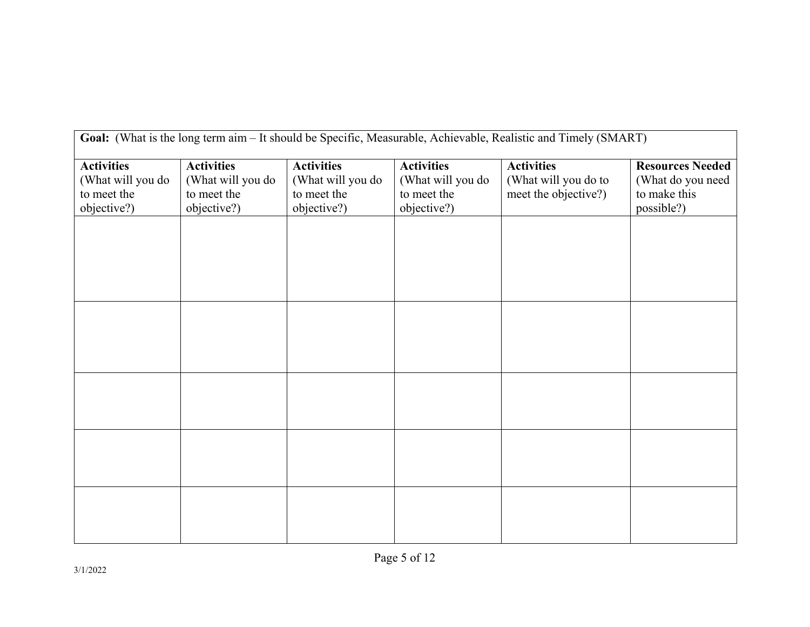| Goal: (What is the long term aim - It should be Specific, Measurable, Achievable, Realistic and Timely (SMART) |                   |                   |                   |                      |                         |
|----------------------------------------------------------------------------------------------------------------|-------------------|-------------------|-------------------|----------------------|-------------------------|
| <b>Activities</b>                                                                                              | <b>Activities</b> | <b>Activities</b> | <b>Activities</b> | <b>Activities</b>    | <b>Resources Needed</b> |
| (What will you do                                                                                              | (What will you do | (What will you do | (What will you do | (What will you do to | (What do you need       |
| to meet the                                                                                                    | to meet the       | to meet the       | to meet the       | meet the objective?) | to make this            |
| objective?)                                                                                                    | objective?)       | objective?)       | objective?)       |                      | possible?)              |
|                                                                                                                |                   |                   |                   |                      |                         |
|                                                                                                                |                   |                   |                   |                      |                         |
|                                                                                                                |                   |                   |                   |                      |                         |
|                                                                                                                |                   |                   |                   |                      |                         |
|                                                                                                                |                   |                   |                   |                      |                         |
|                                                                                                                |                   |                   |                   |                      |                         |
|                                                                                                                |                   |                   |                   |                      |                         |
|                                                                                                                |                   |                   |                   |                      |                         |
|                                                                                                                |                   |                   |                   |                      |                         |
|                                                                                                                |                   |                   |                   |                      |                         |
|                                                                                                                |                   |                   |                   |                      |                         |
|                                                                                                                |                   |                   |                   |                      |                         |
|                                                                                                                |                   |                   |                   |                      |                         |
|                                                                                                                |                   |                   |                   |                      |                         |
|                                                                                                                |                   |                   |                   |                      |                         |
|                                                                                                                |                   |                   |                   |                      |                         |
|                                                                                                                |                   |                   |                   |                      |                         |
|                                                                                                                |                   |                   |                   |                      |                         |
|                                                                                                                |                   |                   |                   |                      |                         |
|                                                                                                                |                   |                   |                   |                      |                         |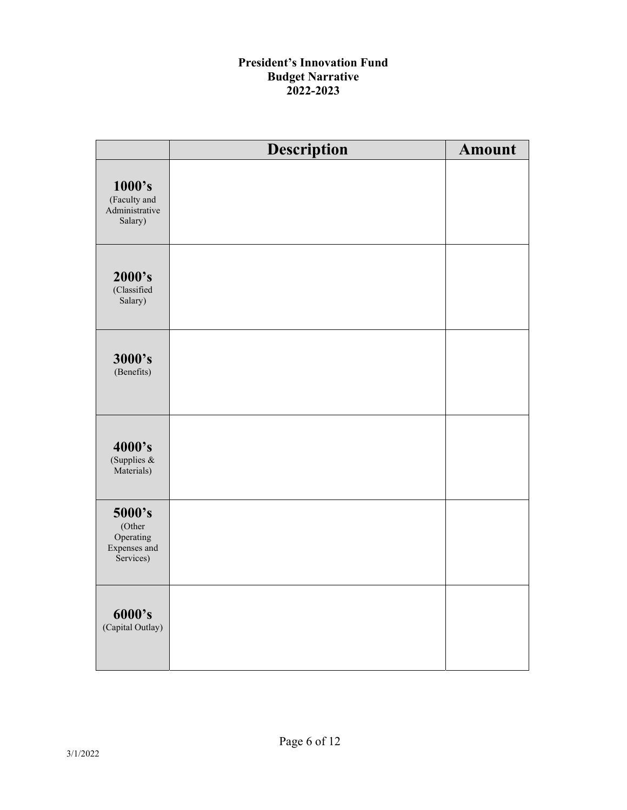## **President's Innovation Fund Budget Narrative 2022-2023**

|                                                            | Description | <b>Amount</b> |
|------------------------------------------------------------|-------------|---------------|
| 1000's<br>(Faculty and<br>Administrative<br>Salary)        |             |               |
| 2000's<br>(Classified<br>Salary)                           |             |               |
| 3000's<br>(Benefits)                                       |             |               |
| 4000's<br>(Supplies &<br>Materials)                        |             |               |
| 5000's<br>(Other<br>Operating<br>Expenses and<br>Services) |             |               |
| 6000's<br>(Capital Outlay)                                 |             |               |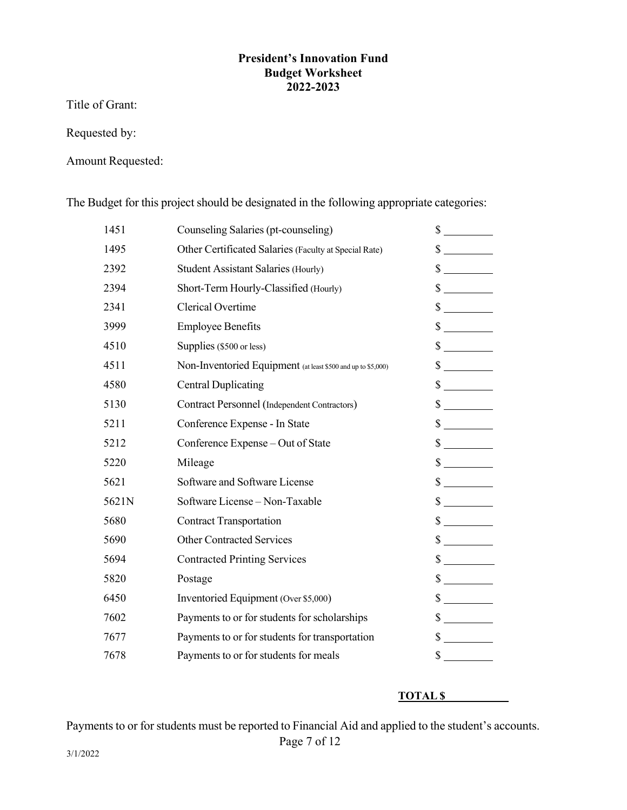### **President's Innovation Fund Budget Worksheet 2022-2023**

Title of Grant:

Requested by:

Amount Requested:

The Budget for this project should be designated in the following appropriate categories:

| 1451  | Counseling Salaries (pt-counseling)                          | \$                          |
|-------|--------------------------------------------------------------|-----------------------------|
| 1495  | Other Certificated Salaries (Faculty at Special Rate)        | $\mathbb{S}$                |
| 2392  | <b>Student Assistant Salaries (Hourly)</b>                   | \$                          |
| 2394  | Short-Term Hourly-Classified (Hourly)                        | $\mathcal{S}$               |
| 2341  | Clerical Overtime                                            | $\frac{\text{S}}{\text{S}}$ |
| 3999  | <b>Employee Benefits</b>                                     | $\frac{\text{S}}{\text{S}}$ |
| 4510  | Supplies (\$500 or less)                                     | $\frac{\sqrt{2}}{2}$        |
| 4511  | Non-Inventoried Equipment (at least \$500 and up to \$5,000) | $\frac{\text{S}}{\text{S}}$ |
| 4580  | <b>Central Duplicating</b>                                   | $\mathcal{S}$               |
| 5130  | Contract Personnel (Independent Contractors)                 | $\frac{\text{S}}{\text{S}}$ |
| 5211  | Conference Expense - In State                                | $\frac{\sqrt{2}}{2}$        |
| 5212  | Conference Expense - Out of State                            | $\mathbb S$                 |
| 5220  | Mileage                                                      | $\frac{\text{S}}{\text{S}}$ |
| 5621  | Software and Software License                                | $\frac{\sqrt{2}}{2}$        |
| 5621N | Software License - Non-Taxable                               | $\sim$                      |
| 5680  | <b>Contract Transportation</b>                               | $\frac{\text{S}}{\text{S}}$ |
| 5690  | <b>Other Contracted Services</b>                             | $\frac{\sqrt{2}}{2}$        |
| 5694  | <b>Contracted Printing Services</b>                          | $\frac{\text{S}}{\text{S}}$ |
| 5820  | Postage                                                      | $\frac{\sqrt{2}}{2}$        |
| 6450  | Inventoried Equipment (Over \$5,000)                         | $\mathbb{S}$                |
| 7602  | Payments to or for students for scholarships                 | $\frac{\text{S}}{\text{S}}$ |
| 7677  | Payments to or for students for transportation               | $\frac{\sqrt{2}}{2}$        |
| 7678  | Payments to or for students for meals                        | $\mathcal{S}$               |

#### **TOTAL \$**

Payments to or for students must be reported to Financial Aid and applied to the student's accounts.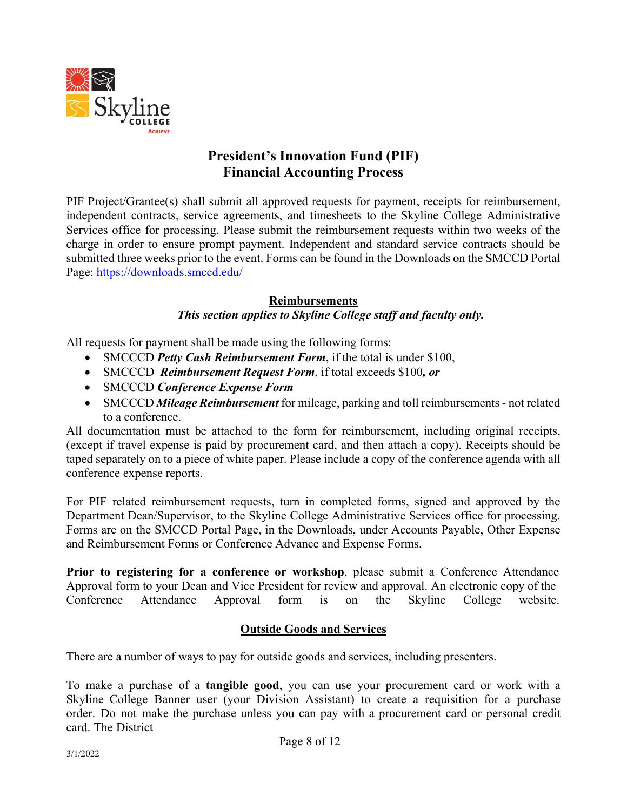

## **President's Innovation Fund (PIF) Financial Accounting Process**

PIF Project/Grantee(s) shall submit all approved requests for payment, receipts for reimbursement, independent contracts, service agreements, and timesheets to the Skyline College Administrative Services office for processing. Please submit the reimbursement requests within two weeks of the charge in order to ensure prompt payment. Independent and standard service contracts should be submitted three weeks prior to the event. Forms can be found in the Downloads on the SMCCD Portal Page: https://downloads.smccd.edu/

## **Reimbursements**

## *This section applies to Skyline College staff and faculty only.*

All requests for payment shall be made using the following forms:

- SMCCCD *Petty Cash Reimbursement Form*, if the total is under \$100,
- SMCCCD *Reimbursement Request Form*, if total exceeds \$100*, or*
- SMCCCD *Conference Expense Form*
- SMCCCD *Mileage Reimbursement* for mileage, parking and toll reimbursements not related to a conference.

All documentation must be attached to the form for reimbursement, including original receipts, (except if travel expense is paid by procurement card, and then attach a copy). Receipts should be taped separately on to a piece of white paper. Please include a copy of the conference agenda with all conference expense reports.

For PIF related reimbursement requests, turn in completed forms, signed and approved by the Department Dean/Supervisor, to the Skyline College Administrative Services office for processing. Forms are on the SMCCD Portal Page, in the Downloads, under Accounts Payable, Other Expense and Reimbursement Forms or Conference Advance and Expense Forms.

**Prior to registering for a conference or workshop**, please submit a Conference Attendance Approval form to your Dean and Vice President for review and approval. An electronic copy of the Conference Attendance Approval form is on the Skyline College website.

## **Outside Goods and Services**

There are a number of ways to pay for outside goods and services, including presenters.

To make a purchase of a **tangible good**, you can use your procurement card or work with a Skyline College Banner user (your Division Assistant) to create a requisition for a purchase order. Do not make the purchase unless you can pay with a procurement card or personal credit card. The District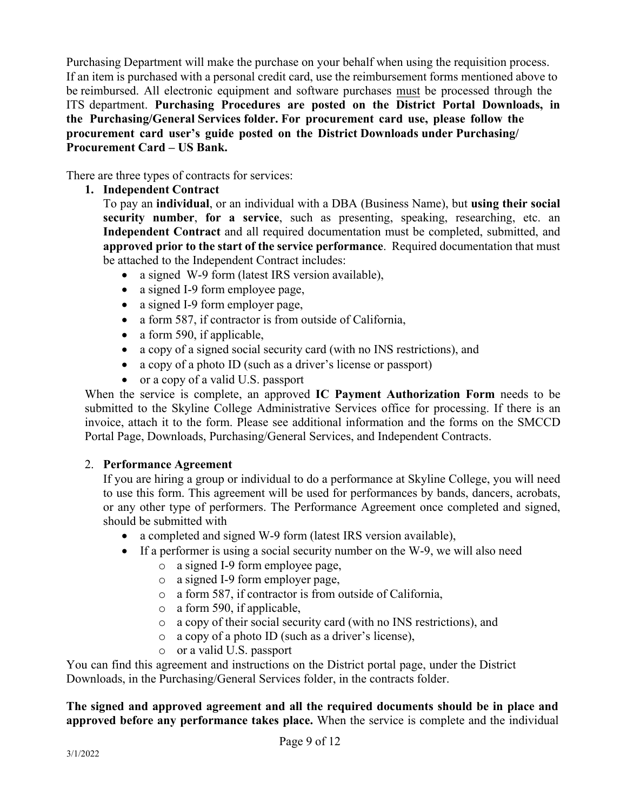Purchasing Department will make the purchase on your behalf when using the requisition process. If an item is purchased with a personal credit card, use the reimbursement forms mentioned above to be reimbursed. All electronic equipment and software purchases must be processed through the ITS department. **Purchasing Procedures are posted on the District Portal Downloads, in the Purchasing/General Services folder. For procurement card use, please follow the procurement card user's guide posted on the District Downloads under Purchasing/ Procurement Card – US Bank.** 

There are three types of contracts for services:

## **1. Independent Contract**

To pay an **individual**, or an individual with a DBA (Business Name), but **using their social security number**, **for a service**, such as presenting, speaking, researching, etc. an **Independent Contract** and all required documentation must be completed, submitted, and **approved prior to the start of the service performance**. Required documentation that must be attached to the Independent Contract includes:

- a signed W-9 form (latest IRS version available),
- a signed I-9 form employee page,
- a signed I-9 form employer page,
- a form 587, if contractor is from outside of California,
- a form 590, if applicable,
- a copy of a signed social security card (with no INS restrictions), and
- a copy of a photo ID (such as a driver's license or passport)
- or a copy of a valid U.S. passport

When the service is complete, an approved **IC Payment Authorization Form** needs to be submitted to the Skyline College Administrative Services office for processing. If there is an invoice, attach it to the form. Please see additional information and the forms on the SMCCD Portal Page, Downloads, Purchasing/General Services, and Independent Contracts.

## 2. **Performance Agreement**

If you are hiring a group or individual to do a performance at Skyline College, you will need to use this form. This agreement will be used for performances by bands, dancers, acrobats, or any other type of performers. The Performance Agreement once completed and signed, should be submitted with

- a completed and signed W-9 form (latest IRS version available),
- If a performer is using a social security number on the W-9, we will also need
	- o a signed I-9 form employee page,
	- o a signed I-9 form employer page,
	- o a form 587, if contractor is from outside of California,
	- o a form 590, if applicable,
	- o a copy of their social security card (with no INS restrictions), and
	- o a copy of a photo ID (such as a driver's license),
	- o or a valid U.S. passport

You can find this agreement and instructions on the District portal page, under the District Downloads, in the Purchasing/General Services folder, in the contracts folder.

**The signed and approved agreement and all the required documents should be in place and approved before any performance takes place.** When the service is complete and the individual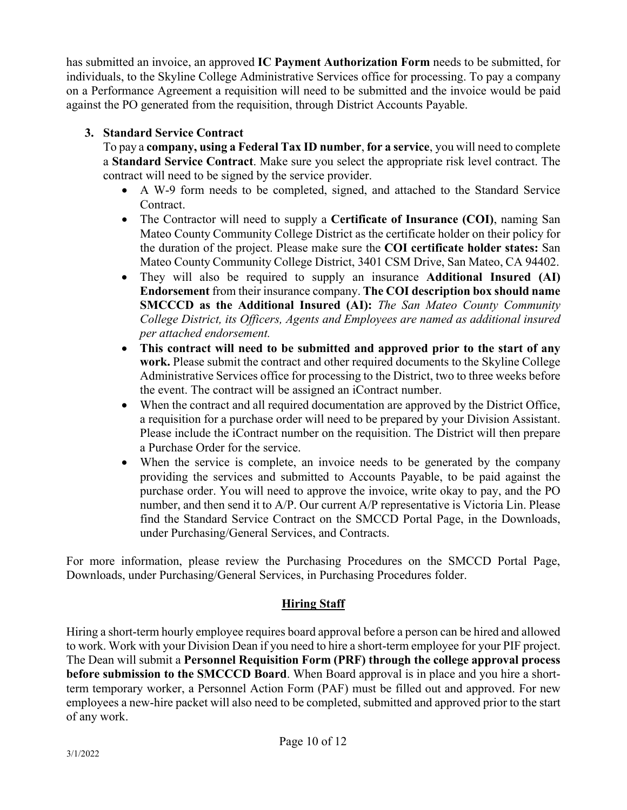has submitted an invoice, an approved **IC Payment Authorization Form** needs to be submitted, for individuals, to the Skyline College Administrative Services office for processing. To pay a company on a Performance Agreement a requisition will need to be submitted and the invoice would be paid against the PO generated from the requisition, through District Accounts Payable.

## **3. Standard Service Contract**

To pay a **company, using a Federal Tax ID number**, **for a service**, you will need to complete a **Standard Service Contract**. Make sure you select the appropriate risk level contract. The contract will need to be signed by the service provider.

- A W-9 form needs to be completed, signed, and attached to the Standard Service Contract.
- The Contractor will need to supply a **Certificate of Insurance (COI)**, naming San Mateo County Community College District as the certificate holder on their policy for the duration of the project. Please make sure the **COI certificate holder states:** San Mateo County Community College District, 3401 CSM Drive, San Mateo, CA 94402.
- They will also be required to supply an insurance **Additional Insured (AI) Endorsement** from their insurance company. **The COI description box should name SMCCCD as the Additional Insured (AI):** *The San Mateo County Community College District, its Officers, Agents and Employees are named as additional insured per attached endorsement.*
- **This contract will need to be submitted and approved prior to the start of any work.** Please submit the contract and other required documents to the Skyline College Administrative Services office for processing to the District, two to three weeks before the event. The contract will be assigned an iContract number.
- When the contract and all required documentation are approved by the District Office, a requisition for a purchase order will need to be prepared by your Division Assistant. Please include the iContract number on the requisition. The District will then prepare a Purchase Order for the service.
- When the service is complete, an invoice needs to be generated by the company providing the services and submitted to Accounts Payable, to be paid against the purchase order. You will need to approve the invoice, write okay to pay, and the PO number, and then send it to A/P. Our current A/P representative is Victoria Lin. Please find the Standard Service Contract on the SMCCD Portal Page, in the Downloads, under Purchasing/General Services, and Contracts.

For more information, please review the Purchasing Procedures on the SMCCD Portal Page, Downloads, under Purchasing/General Services, in Purchasing Procedures folder.

## **Hiring Staff**

Hiring a short-term hourly employee requires board approval before a person can be hired and allowed to work. Work with your Division Dean if you need to hire a short-term employee for your PIF project. The Dean will submit a **Personnel Requisition Form (PRF) through the college approval process before submission to the SMCCCD Board**. When Board approval is in place and you hire a shortterm temporary worker, a Personnel Action Form (PAF) must be filled out and approved. For new employees a new-hire packet will also need to be completed, submitted and approved prior to the start of any work.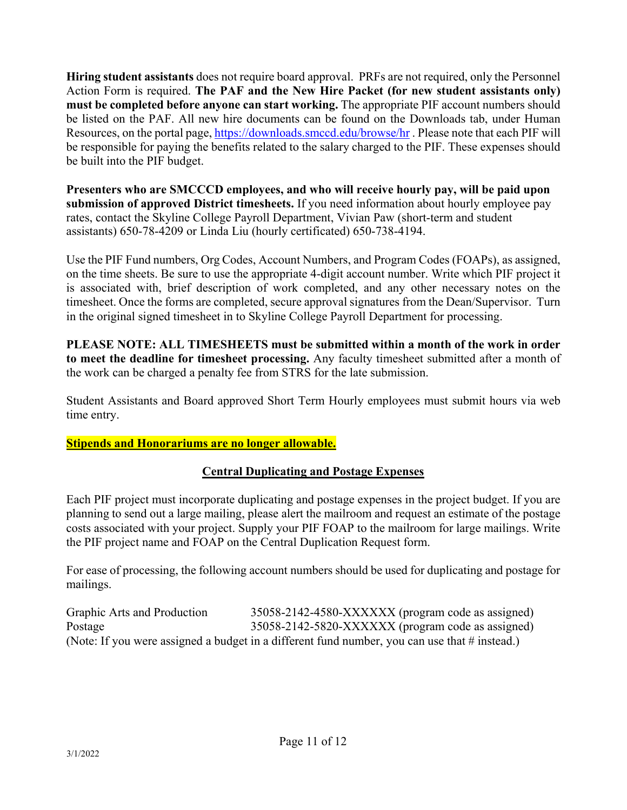**Hiring student assistants** does not require board approval. PRFs are not required, only the Personnel Action Form is required. **The PAF and the New Hire Packet (for new student assistants only) must be completed before anyone can start working.** The appropriate PIF account numbers should be listed on the PAF. All new hire documents can be found on the Downloads tab, under Human Resources, on the portal page, https://downloads.smccd.edu/browse/hr . Please note that each PIF will be responsible for paying the benefits related to the salary charged to the PIF. These expenses should be built into the PIF budget.

**Presenters who are SMCCCD employees, and who will receive hourly pay, will be paid upon submission of approved District timesheets.** If you need information about hourly employee pay rates, contact the Skyline College Payroll Department, Vivian Paw (short-term and student assistants) 650-78-4209 or Linda Liu (hourly certificated) 650-738-4194.

Use the PIF Fund numbers, Org Codes, Account Numbers, and Program Codes (FOAPs), as assigned, on the time sheets. Be sure to use the appropriate 4-digit account number. Write which PIF project it is associated with, brief description of work completed, and any other necessary notes on the timesheet. Once the forms are completed, secure approval signatures from the Dean/Supervisor. Turn in the original signed timesheet in to Skyline College Payroll Department for processing.

**PLEASE NOTE: ALL TIMESHEETS must be submitted within a month of the work in order to meet the deadline for timesheet processing.** Any faculty timesheet submitted after a month of the work can be charged a penalty fee from STRS for the late submission.

Student Assistants and Board approved Short Term Hourly employees must submit hours via web time entry.

## **Stipends and Honorariums are no longer allowable.**

## **Central Duplicating and Postage Expenses**

Each PIF project must incorporate duplicating and postage expenses in the project budget. If you are planning to send out a large mailing, please alert the mailroom and request an estimate of the postage costs associated with your project. Supply your PIF FOAP to the mailroom for large mailings. Write the PIF project name and FOAP on the Central Duplication Request form.

For ease of processing, the following account numbers should be used for duplicating and postage for mailings.

Graphic Arts and Production 35058-2142-4580-XXXXXX (program code as assigned) Postage 35058-2142-5820-XXXXXX (program code as assigned) (Note: If you were assigned a budget in a different fund number, you can use that # instead.)